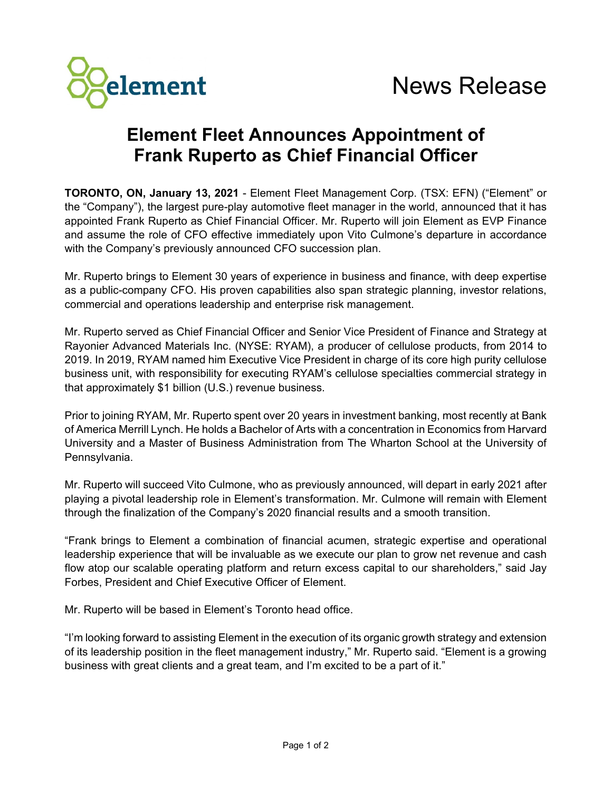

## **Element Fleet Announces Appointment of Frank Ruperto as Chief Financial Officer**

**TORONTO, ON, January 13, 2021** - Element Fleet Management Corp. (TSX: EFN) ("Element" or the "Company"), the largest pure-play automotive fleet manager in the world, announced that it has appointed Frank Ruperto as Chief Financial Officer. Mr. Ruperto will join Element as EVP Finance and assume the role of CFO effective immediately upon Vito Culmone's departure in accordance with the Company's previously announced CFO succession plan.

Mr. Ruperto brings to Element 30 years of experience in business and finance, with deep expertise as a public-company CFO. His proven capabilities also span strategic planning, investor relations, commercial and operations leadership and enterprise risk management.

Mr. Ruperto served as Chief Financial Officer and Senior Vice President of Finance and Strategy at Rayonier Advanced Materials Inc. (NYSE: RYAM), a producer of cellulose products, from 2014 to 2019. In 2019, RYAM named him Executive Vice President in charge of its core high purity cellulose business unit, with responsibility for executing RYAM's cellulose specialties commercial strategy in that approximately \$1 billion (U.S.) revenue business.

Prior to joining RYAM, Mr. Ruperto spent over 20 years in investment banking, most recently at Bank of America Merrill Lynch. He holds a Bachelor of Arts with a concentration in Economics from Harvard University and a Master of Business Administration from The Wharton School at the University of Pennsylvania.

Mr. Ruperto will succeed Vito Culmone, who as previously announced, will depart in early 2021 after playing a pivotal leadership role in Element's transformation. Mr. Culmone will remain with Element through the finalization of the Company's 2020 financial results and a smooth transition.

"Frank brings to Element a combination of financial acumen, strategic expertise and operational leadership experience that will be invaluable as we execute our plan to grow net revenue and cash flow atop our scalable operating platform and return excess capital to our shareholders," said Jay Forbes, President and Chief Executive Officer of Element.

Mr. Ruperto will be based in Element's Toronto head office.

"I'm looking forward to assisting Element in the execution of its organic growth strategy and extension of its leadership position in the fleet management industry," Mr. Ruperto said. "Element is a growing business with great clients and a great team, and I'm excited to be a part of it."